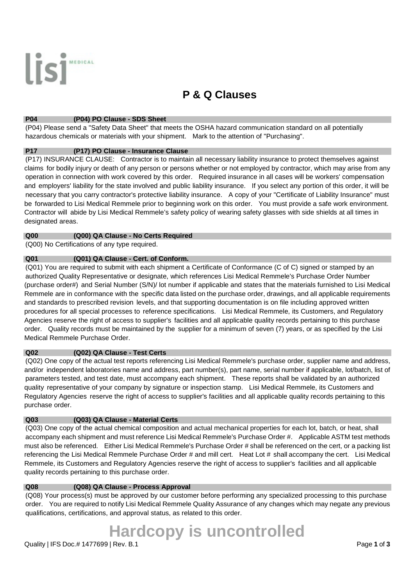

# **P & Q Clauses**

#### **P04 (P04) PO Clause - SDS Sheet**

 (P04) Please send a "Safety Data Sheet" that meets the OSHA hazard communication standard on all potentially hazardous chemicals or materials with your shipment. Mark to the attention of "Purchasing".

#### **P17 (P17) PO Clause - Insurance Clause**

 (P17) INSURANCE CLAUSE: Contractor is to maintain all necessary liability insurance to protect themselves against claims for bodily injury or death of any person or persons whether or not employed by contractor, which may arise from any operation in connection with work covered by this order. Required insurance in all cases will be workers' compensation and employers' liability for the state involved and public liability insurance. If you select any portion of this order, it will be necessary that you carry contractor's protective liability insurance. A copy of your "Certificate of Liability Insurance" must be forwarded to Lisi Medical Remmele prior to beginning work on this order. You must provide a safe work environment. Contractor will abide by Lisi Medical Remmele's safety policy of wearing safety glasses with side shields at all times in designated areas.

#### **Q00 (Q00) QA Clause - No Certs Required**

(Q00) No Certifications of any type required.

# **Q01 (Q01) QA Clause - Cert. of Conform.**

 (Q01) You are required to submit with each shipment a Certificate of Conformance (C of C) signed or stamped by an authorized Quality Representative or designate, which references Lisi Medical Remmele's Purchase Order Number (purchase order#) and Serial Number (S/N)/ lot number if applicable and states that the materials furnished to Lisi Medical Remmele are in conformance with the specific data listed on the purchase order, drawings, and all applicable requirements and standards to prescribed revision levels, and that supporting documentation is on file including approved written procedures for all special processes to reference specifications. Lisi Medical Remmele, its Customers, and Regulatory Agencies reserve the right of access to supplier's facilities and all applicable quality records pertaining to this purchase order. Quality records must be maintained by the supplier for a minimum of seven (7) years, or as specified by the Lisi Medical Remmele Purchase Order.

# **Q02 (Q02) QA Clause - Test Certs**

 (Q02) One copy of the actual test reports referencing Lisi Medical Remmele's purchase order, supplier name and address, and/or independent laboratories name and address, part number(s), part name, serial number if applicable, lot/batch, list of parameters tested, and test date, must accompany each shipment. These reports shall be validated by an authorized quality representative of your company by signature or inspection stamp. Lisi Medical Remmele, its Customers and Regulatory Agencies reserve the right of access to supplier's facilities and all applicable quality records pertaining to this purchase order.

# **Q03 (Q03) QA Clause - Material Certs**

 (Q03) One copy of the actual chemical composition and actual mechanical properties for each lot, batch, or heat, shall accompany each shipment and must reference Lisi Medical Remmele's Purchase Order #. Applicable ASTM test methods must also be referenced. Either Lisi Medical Remmele's Purchase Order # shall be referenced on the cert, or a packing list referencing the Lisi Medical Remmele Purchase Order # and mill cert. Heat Lot # shall accompany the cert. Lisi Medical Remmele, its Customers and Regulatory Agencies reserve the right of access to supplier's facilities and all applicable quality records pertaining to this purchase order.

#### **Q08 (Q08) QA Clause - Process Approval**

 (Q08) Your process(s) must be approved by our customer before performing any specialized processing to this purchase order. You are required to notify Lisi Medical Remmele Quality Assurance of any changes which may negate any previous qualifications, certifications, and approval status, as related to this order.

# **Hardcopy is uncontrolled**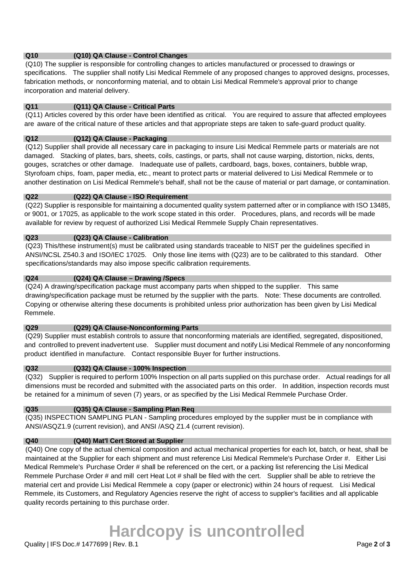# **Q10 (Q10) QA Clause - Control Changes**

 (Q10) The supplier is responsible for controlling changes to articles manufactured or processed to drawings or specifications. The supplier shall notify Lisi Medical Remmele of any proposed changes to approved designs, processes, fabrication methods, or nonconforming material, and to obtain Lisi Medical Remmele's approval prior to change incorporation and material delivery.

# **Q11 (Q11) QA Clause - Critical Parts**

 (Q11) Articles covered by this order have been identified as critical. You are required to assure that affected employees are aware of the critical nature of these articles and that appropriate steps are taken to safe-guard product quality.

## **Q12 (Q12) QA Clause - Packaging**

 (Q12) Supplier shall provide all necessary care in packaging to insure Lisi Medical Remmele parts or materials are not damaged. Stacking of plates, bars, sheets, coils, castings, or parts, shall not cause warping, distortion, nicks, dents, gouges, scratches or other damage. Inadequate use of pallets, cardboard, bags, boxes, containers, bubble wrap, Styrofoam chips, foam, paper media, etc., meant to protect parts or material delivered to Lisi Medical Remmele or to another destination on Lisi Medical Remmele's behalf, shall not be the cause of material or part damage, or contamination.

#### **Q22 (Q22) QA Clause - ISO Requirement**

 (Q22) Supplier is responsible for maintaining a documented quality system patterned after or in compliance with ISO 13485, or 9001, or 17025, as applicable to the work scope stated in this order. Procedures, plans, and records will be made available for review by request of authorized Lisi Medical Remmele Supply Chain representatives.

#### **Q23 (Q23) QA Clause - Calibration**

 (Q23) This/these instrument(s) must be calibrated using standards traceable to NIST per the guidelines specified in ANSI/NCSL Z540.3 and ISO/IEC 17025. Only those line items with (Q23) are to be calibrated to this standard. Other specifications/standards may also impose specific calibration requirements.

# **Q24 (Q24) QA Clause – Drawing /Specs**

 (Q24) A drawing/specification package must accompany parts when shipped to the supplier. This same drawing/specification package must be returned by the supplier with the parts. Note: These documents are controlled. Copying or otherwise altering these documents is prohibited unless prior authorization has been given by Lisi Medical Remmele.

#### **Q29 (Q29) QA Clause-Nonconforming Parts**

 (Q29) Supplier must establish controls to assure that nonconforming materials are identified, segregated, dispositioned, and controlled to prevent inadvertent use. Supplier must document and notify Lisi Medical Remmele of any nonconforming product identified in manufacture. Contact responsible Buyer for further instructions.

### **Q32 (Q32) QA Clause - 100% Inspection**

 (Q32) Supplier is required to perform 100% Inspection on all parts supplied on this purchase order. Actual readings for all dimensions must be recorded and submitted with the associated parts on this order. In addition, inspection records must be retained for a minimum of seven (7) years, or as specified by the Lisi Medical Remmele Purchase Order.

# **Q35 (Q35) QA Clause - Sampling Plan Req**

 (Q35) INSPECTION SAMPLING PLAN - Sampling procedures employed by the supplier must be in compliance with ANSI/ASQZ1.9 (current revision), and ANSI /ASQ Z1.4 (current revision).

# **Q40 (Q40) Mat'l Cert Stored at Supplier**

 (Q40) One copy of the actual chemical composition and actual mechanical properties for each lot, batch, or heat, shall be maintained at the Supplier for each shipment and must reference Lisi Medical Remmele's Purchase Order #. Either Lisi Medical Remmele's Purchase Order # shall be referenced on the cert, or a packing list referencing the Lisi Medical Remmele Purchase Order # and mill cert Heat Lot # shall be filed with the cert. Supplier shall be able to retrieve the material cert and provide Lisi Medical Remmele a copy (paper or electronic) within 24 hours of request. Lisi Medical Remmele, its Customers, and Regulatory Agencies reserve the right of access to supplier's facilities and all applicable quality records pertaining to this purchase order.

# **Hardcopy is uncontrolled**